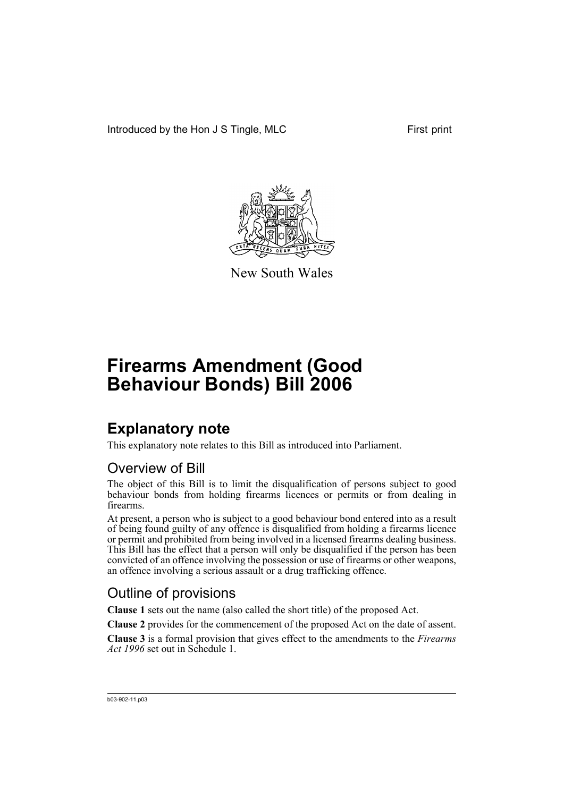Introduced by the Hon J S Tingle, MLC First print



New South Wales

# **Firearms Amendment (Good Behaviour Bonds) Bill 2006**

## **Explanatory note**

This explanatory note relates to this Bill as introduced into Parliament.

### Overview of Bill

The object of this Bill is to limit the disqualification of persons subject to good behaviour bonds from holding firearms licences or permits or from dealing in firearms.

At present, a person who is subject to a good behaviour bond entered into as a result of being found guilty of any offence is disqualified from holding a firearms licence or permit and prohibited from being involved in a licensed firearms dealing business. This Bill has the effect that a person will only be disqualified if the person has been convicted of an offence involving the possession or use of firearms or other weapons, an offence involving a serious assault or a drug trafficking offence.

### Outline of provisions

**Clause 1** sets out the name (also called the short title) of the proposed Act.

**Clause 2** provides for the commencement of the proposed Act on the date of assent.

**Clause 3** is a formal provision that gives effect to the amendments to the *Firearms Act 1996* set out in Schedule 1.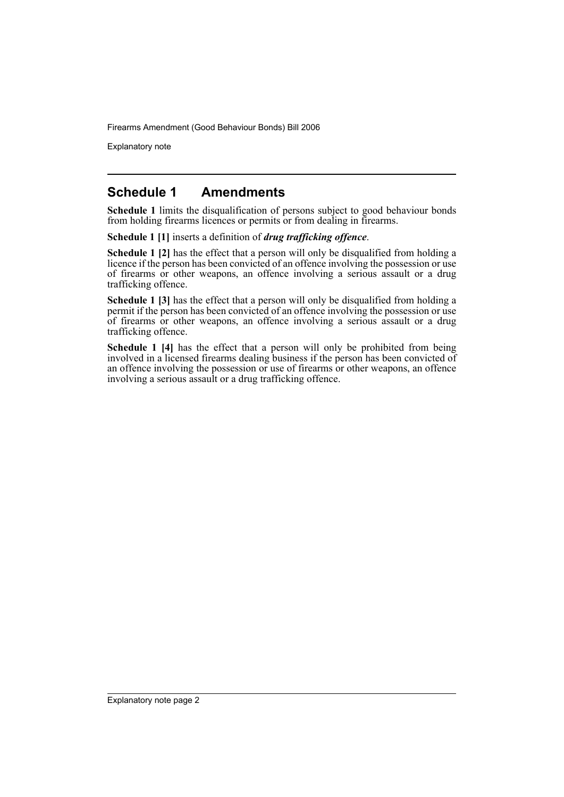Firearms Amendment (Good Behaviour Bonds) Bill 2006

Explanatory note

#### **Schedule 1 Amendments**

**Schedule 1** limits the disqualification of persons subject to good behaviour bonds from holding firearms licences or permits or from dealing in firearms.

**Schedule 1 [1]** inserts a definition of *drug trafficking offence*.

**Schedule 1 [2]** has the effect that a person will only be disqualified from holding a licence if the person has been convicted of an offence involving the possession or use of firearms or other weapons, an offence involving a serious assault or a drug trafficking offence.

**Schedule 1 [3]** has the effect that a person will only be disqualified from holding a permit if the person has been convicted of an offence involving the possession or use of firearms or other weapons, an offence involving a serious assault or a drug trafficking offence.

**Schedule 1 [4]** has the effect that a person will only be prohibited from being involved in a licensed firearms dealing business if the person has been convicted of an offence involving the possession or use of firearms or other weapons, an offence involving a serious assault or a drug trafficking offence.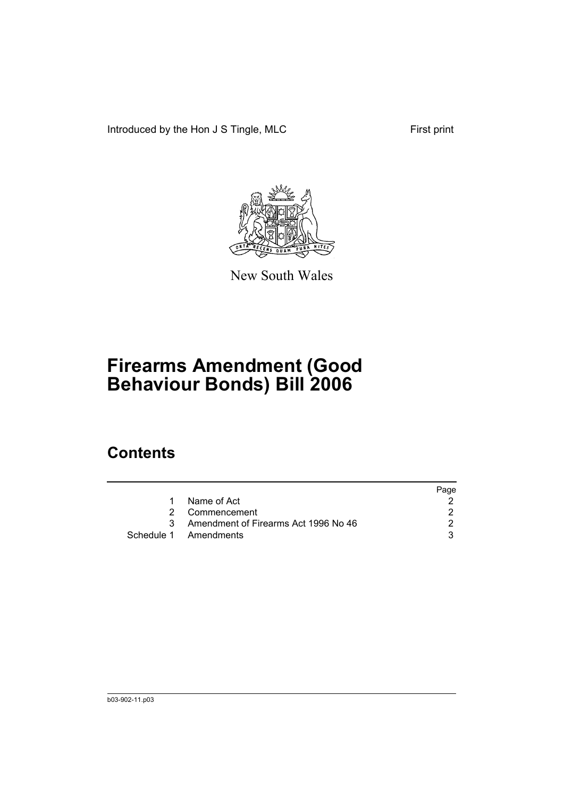Introduced by the Hon J S Tingle, MLC First print



New South Wales

# **Firearms Amendment (Good Behaviour Bonds) Bill 2006**

## **Contents**

|           |                                        | Page |
|-----------|----------------------------------------|------|
| $1 \quad$ | Name of Act                            |      |
|           | 2 Commencement                         |      |
|           | 3 Amendment of Firearms Act 1996 No 46 |      |
|           | Schedule 1 Amendments                  |      |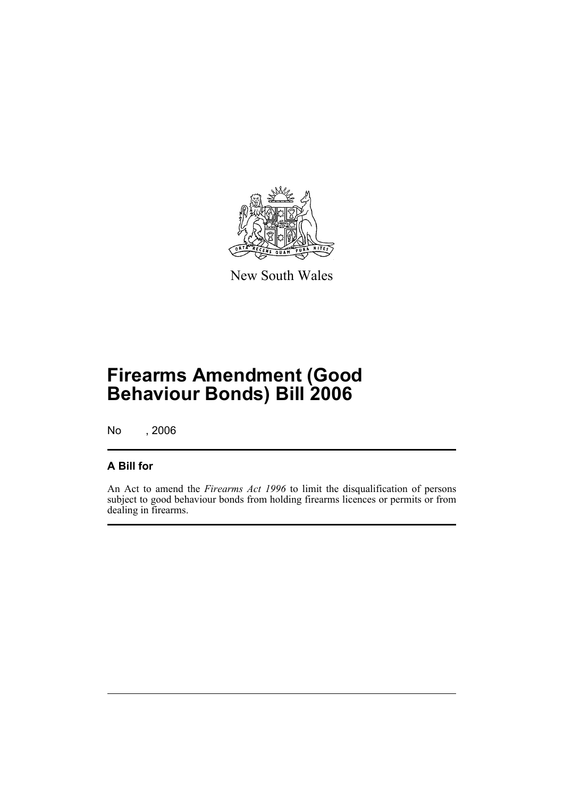

New South Wales

# **Firearms Amendment (Good Behaviour Bonds) Bill 2006**

No , 2006

#### **A Bill for**

An Act to amend the *Firearms Act 1996* to limit the disqualification of persons subject to good behaviour bonds from holding firearms licences or permits or from dealing in firearms.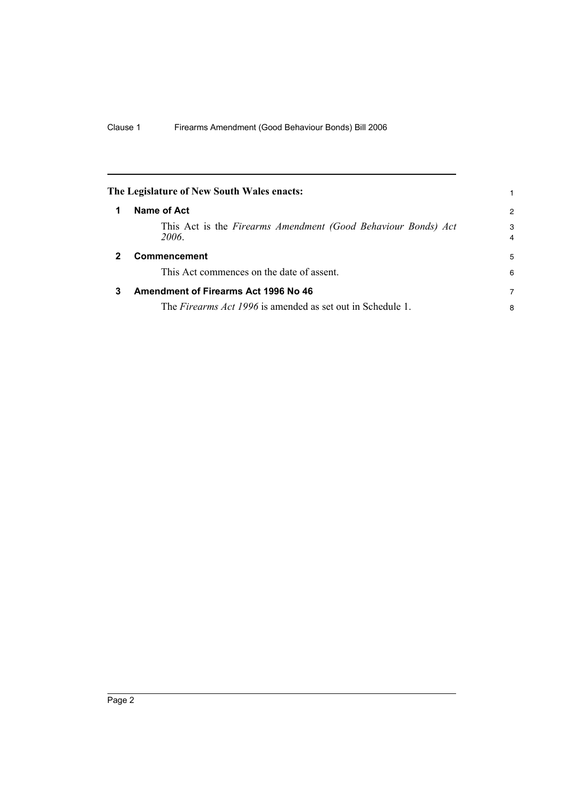|   | The Legislature of New South Wales enacts:                             |                     |
|---|------------------------------------------------------------------------|---------------------|
|   | Name of Act                                                            | $\overline{c}$      |
|   | This Act is the Firearms Amendment (Good Behaviour Bonds) Act<br>2006. | 3<br>$\overline{4}$ |
|   | <b>Commencement</b>                                                    | 5                   |
|   | This Act commences on the date of assent.                              | 6                   |
| 3 | <b>Amendment of Firearms Act 1996 No 46</b>                            | 7                   |
|   | The <i>Firearms Act 1996</i> is amended as set out in Schedule 1.      | 8                   |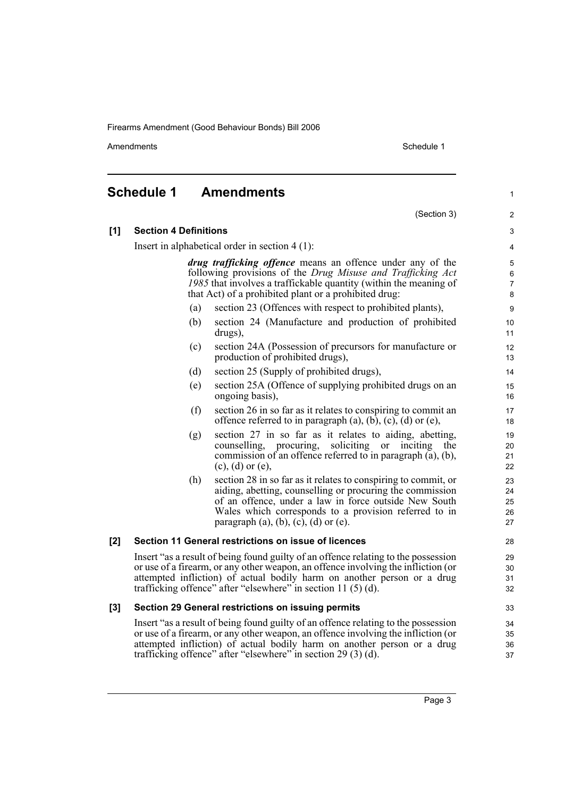Firearms Amendment (Good Behaviour Bonds) Bill 2006

Amendments Schedule 1

1

### **Schedule 1 Amendments**

|     |                              | (Section 3)                                                                                                                                                                                                                                                                                                           | 2                          |
|-----|------------------------------|-----------------------------------------------------------------------------------------------------------------------------------------------------------------------------------------------------------------------------------------------------------------------------------------------------------------------|----------------------------|
| [1] | <b>Section 4 Definitions</b> |                                                                                                                                                                                                                                                                                                                       | 3                          |
|     |                              | Insert in alphabetical order in section $4(1)$ :                                                                                                                                                                                                                                                                      | 4                          |
|     |                              | drug trafficking offence means an offence under any of the<br>following provisions of the Drug Misuse and Trafficking Act<br>1985 that involves a traffickable quantity (within the meaning of<br>that Act) of a prohibited plant or a prohibited drug:                                                               | 5<br>6<br>7<br>$\bf 8$     |
|     | (a)                          | section 23 (Offences with respect to prohibited plants),                                                                                                                                                                                                                                                              | 9                          |
|     | (b)                          | section 24 (Manufacture and production of prohibited<br>drugs),                                                                                                                                                                                                                                                       | 10<br>11                   |
|     | (c)                          | section 24A (Possession of precursors for manufacture or<br>production of prohibited drugs),                                                                                                                                                                                                                          | 12<br>13                   |
|     | (d)                          | section 25 (Supply of prohibited drugs),                                                                                                                                                                                                                                                                              | 14                         |
|     | (e)                          | section 25A (Offence of supplying prohibited drugs on an<br>ongoing basis),                                                                                                                                                                                                                                           | 15<br>16                   |
|     | (f)                          | section 26 in so far as it relates to conspiring to commit an<br>offence referred to in paragraph $(a)$ , $(b)$ , $(c)$ , $(d)$ or $(e)$ ,                                                                                                                                                                            | 17<br>18                   |
|     | (g)                          | section 27 in so far as it relates to aiding, abetting,<br>counselling, procuring,<br>soliciting or<br>inciting<br>the<br>commission of an offence referred to in paragraph (a), (b),<br>$(c)$ , $(d)$ or $(e)$ ,                                                                                                     | 19<br>20<br>21<br>22       |
|     | (h)                          | section 28 in so far as it relates to conspiring to commit, or<br>aiding, abetting, counselling or procuring the commission<br>of an offence, under a law in force outside New South<br>Wales which corresponds to a provision referred to in<br>paragraph (a), (b), (c), (d) or (e).                                 | 23<br>24<br>25<br>26<br>27 |
| [2] |                              | Section 11 General restrictions on issue of licences                                                                                                                                                                                                                                                                  | 28                         |
|     |                              | Insert "as a result of being found guilty of an offence relating to the possession<br>or use of a firearm, or any other weapon, an offence involving the infliction (or<br>attempted infliction) of actual bodily harm on another person or a drug<br>trafficking offence" after "elsewhere" in section 11 $(5)(d)$ . | 29<br>30<br>31<br>32       |
| [3] |                              | Section 29 General restrictions on issuing permits                                                                                                                                                                                                                                                                    | 33                         |
|     |                              | Insert "as a result of being found guilty of an offence relating to the possession<br>or use of a firearm, or any other weapon, an offence involving the infliction (or<br>attempted infliction) of actual bodily harm on another person or a drug<br>trafficking offence" after "elsewhere" in section 29 (3) (d).   | 34<br>35<br>36<br>37       |